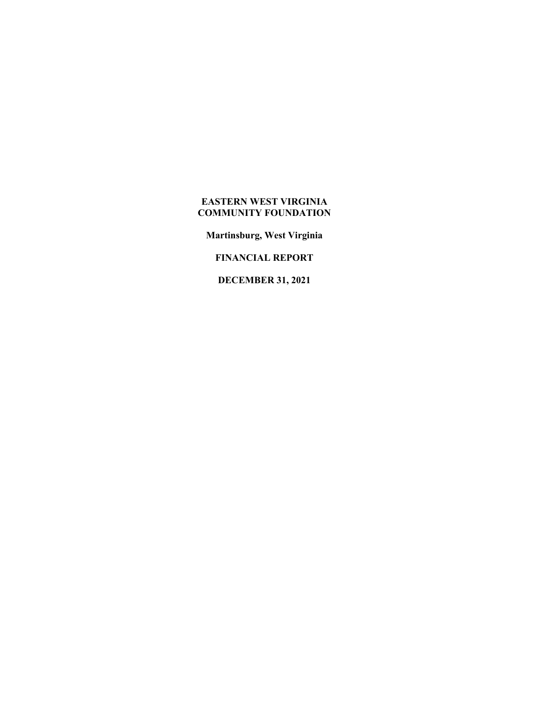**Martinsburg, West Virginia** 

**FINANCIAL REPORT** 

**DECEMBER 31, 2021**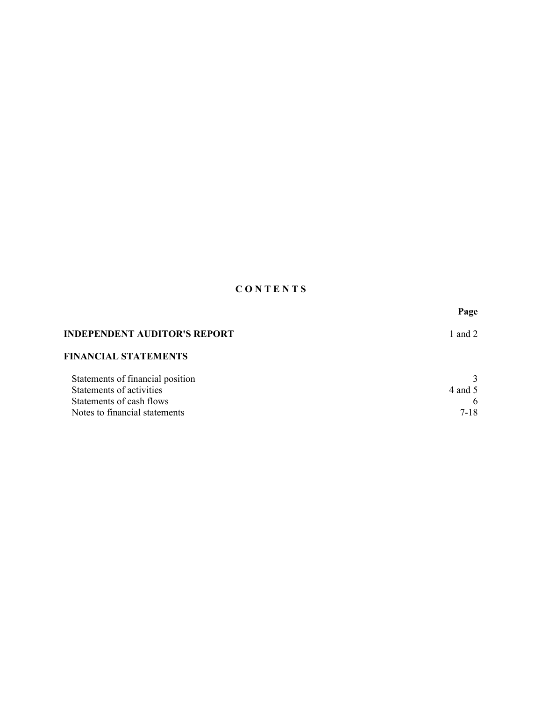# **C O N T E N T S**

|                                     | Page     |
|-------------------------------------|----------|
| <b>INDEPENDENT AUDITOR'S REPORT</b> | 1 and 2  |
| <b>FINANCIAL STATEMENTS</b>         |          |
| Statements of financial position    |          |
| Statements of activities            | 4 and 5  |
| Statements of cash flows            | 6        |
| Notes to financial statements       | $7 - 18$ |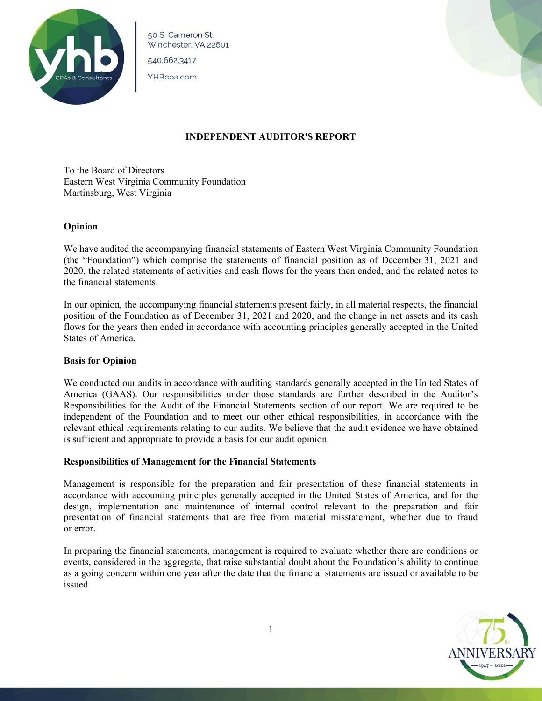

50 S. Cameron St. Winchester, VA 22601

540.662.3417

YHBcpa.com



# **INDEPENDENT AUDITOR'S REPORT**

To the Board of Directors Eastern West Virginia Community Foundation Martinsburg, West Virginia

# **Opinion**

We have audited the accompanying financial statements of Eastern West Virginia Community Foundation (the "Foundation") which comprise the statements of financial position as of December 31, 2021 and 2020, the related statements of activities and cash flows for the years then ended, and the related notes to the financial statements.

In our opinion, the accompanying financial statements present fairly, in all material respects, the financial position of the Foundation as of December 31, 2021 and 2020, and the change in net assets and its cash flows for the years then ended in accordance with accounting principles generally accepted in the United States of America.

# **Basis for Opinion**

We conducted our audits in accordance with auditing standards generally accepted in the United States of America (GAAS). Our responsibilities under those standards are further described in the Auditor's Responsibilities for the Audit of the Financial Statements section of our report. We are required to be independent of the Foundation and to meet our other ethical responsibilities, in accordance with the relevant ethical requirements relating to our audits. We believe that the audit evidence we have obtained is sufficient and appropriate to provide a basis for our audit opinion.

# **Responsibilities of Management for the Financial Statements**

Management is responsible for the preparation and fair presentation of these financial statements in accordance with accounting principles generally accepted in the United States of America, and for the design, implementation and maintenance of internal control relevant to the preparation and fair presentation of financial statements that are free from material misstatement, whether due to fraud or error.

In preparing the financial statements, management is required to evaluate whether there are conditions or events, considered in the aggregate, that raise substantial doubt about the Foundation's ability to continue as a going concern within one year after the date that the financial statements are issued or available to be issued.

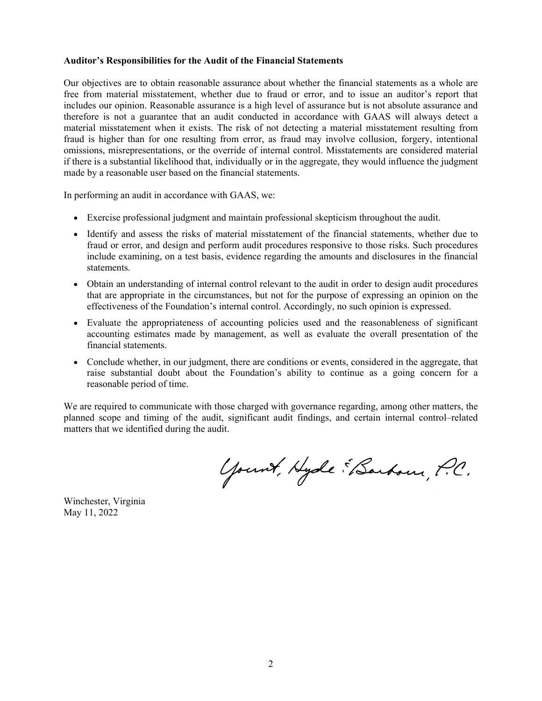## **Auditor's Responsibilities for the Audit of the Financial Statements**

Our objectives are to obtain reasonable assurance about whether the financial statements as a whole are free from material misstatement, whether due to fraud or error, and to issue an auditor's report that includes our opinion. Reasonable assurance is a high level of assurance but is not absolute assurance and therefore is not a guarantee that an audit conducted in accordance with GAAS will always detect a material misstatement when it exists. The risk of not detecting a material misstatement resulting from fraud is higher than for one resulting from error, as fraud may involve collusion, forgery, intentional omissions, misrepresentations, or the override of internal control. Misstatements are considered material if there is a substantial likelihood that, individually or in the aggregate, they would influence the judgment made by a reasonable user based on the financial statements.

In performing an audit in accordance with GAAS, we:

- Exercise professional judgment and maintain professional skepticism throughout the audit.
- Identify and assess the risks of material misstatement of the financial statements, whether due to fraud or error, and design and perform audit procedures responsive to those risks. Such procedures include examining, on a test basis, evidence regarding the amounts and disclosures in the financial statements.
- Obtain an understanding of internal control relevant to the audit in order to design audit procedures that are appropriate in the circumstances, but not for the purpose of expressing an opinion on the effectiveness of the Foundation's internal control. Accordingly, no such opinion is expressed.
- Evaluate the appropriateness of accounting policies used and the reasonableness of significant accounting estimates made by management, as well as evaluate the overall presentation of the financial statements.
- Conclude whether, in our judgment, there are conditions or events, considered in the aggregate, that raise substantial doubt about the Foundation's ability to continue as a going concern for a reasonable period of time.

We are required to communicate with those charged with governance regarding, among other matters, the planned scope and timing of the audit, significant audit findings, and certain internal control–related matters that we identified during the audit.

Yount, Hyde Sarbour, P.C.

Winchester, Virginia May 11, 2022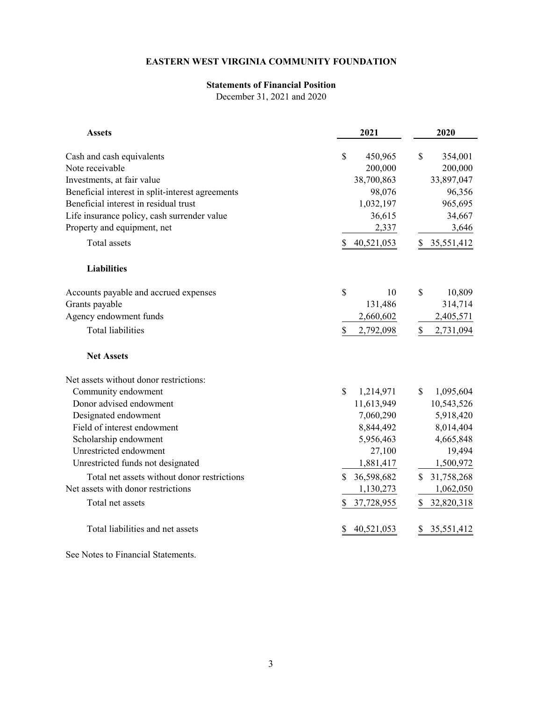# **Statements of Financial Position**

December 31, 2021 and 2020

| <b>Assets</b>                                    | 2021                     | 2020             |
|--------------------------------------------------|--------------------------|------------------|
|                                                  |                          |                  |
| Cash and cash equivalents                        | \$<br>450,965            | \$<br>354,001    |
| Note receivable                                  | 200,000                  | 200,000          |
| Investments, at fair value                       | 38,700,863               | 33,897,047       |
| Beneficial interest in split-interest agreements | 98,076                   | 96,356           |
| Beneficial interest in residual trust            | 1,032,197                | 965,695          |
| Life insurance policy, cash surrender value      | 36,615                   | 34,667           |
| Property and equipment, net                      | 2,337                    | 3,646            |
| Total assets                                     | 40,521,053               | 35,551,412<br>\$ |
| <b>Liabilities</b>                               |                          |                  |
| Accounts payable and accrued expenses            | \$<br>10                 | \$<br>10,809     |
| Grants payable                                   | 131,486                  | 314,714          |
| Agency endowment funds                           | 2,660,602                | 2,405,571        |
| <b>Total liabilities</b>                         | \$<br>2,792,098          | \$<br>2,731,094  |
| <b>Net Assets</b>                                |                          |                  |
| Net assets without donor restrictions:           |                          |                  |
| Community endowment                              | $\mathbf S$<br>1,214,971 | \$<br>1,095,604  |
| Donor advised endowment                          | 11,613,949               | 10,543,526       |
| Designated endowment                             | 7,060,290                | 5,918,420        |
| Field of interest endowment                      | 8,844,492                | 8,014,404        |
| Scholarship endowment                            | 5,956,463                | 4,665,848        |
| Unrestricted endowment                           | 27,100                   | 19,494           |
| Unrestricted funds not designated                | 1,881,417                | 1,500,972        |
| Total net assets without donor restrictions      | 36,598,682<br>S          | 31,758,268<br>S. |
| Net assets with donor restrictions               | 1,130,273                | 1,062,050        |
| Total net assets                                 | \$<br>37,728,955         | \$<br>32,820,318 |
| Total liabilities and net assets                 | 40,521,053               | 35,551,412       |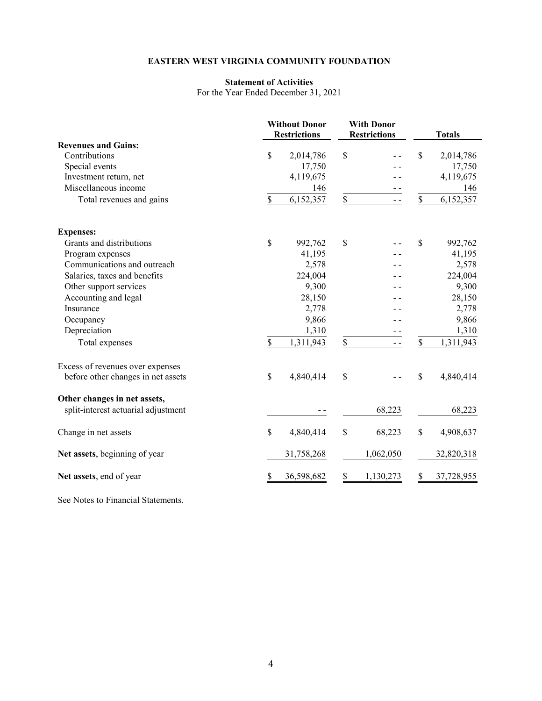## **Statement of Activities**

For the Year Ended December 31, 2021

|                                     | <b>Without Donor</b><br><b>With Donor</b><br><b>Restrictions</b><br><b>Restrictions</b> |            | <b>Totals</b> |           |                  |
|-------------------------------------|-----------------------------------------------------------------------------------------|------------|---------------|-----------|------------------|
| <b>Revenues and Gains:</b>          |                                                                                         |            |               |           |                  |
| Contributions                       | \$                                                                                      | 2,014,786  | \$            |           | \$<br>2,014,786  |
| Special events                      |                                                                                         | 17,750     |               |           | 17,750           |
| Investment return, net              |                                                                                         | 4,119,675  |               |           | 4,119,675        |
| Miscellaneous income                |                                                                                         | 146        |               |           | 146              |
| Total revenues and gains            | $\mathbb S$                                                                             | 6,152,357  | $\mathbb S$   | $ -$      | \$<br>6,152,357  |
| <b>Expenses:</b>                    |                                                                                         |            |               |           |                  |
| Grants and distributions            | \$                                                                                      | 992,762    | $\mathbb{S}$  |           | \$<br>992,762    |
| Program expenses                    |                                                                                         | 41,195     |               |           | 41,195           |
| Communications and outreach         |                                                                                         | 2,578      |               |           | 2,578            |
| Salaries, taxes and benefits        |                                                                                         | 224,004    |               |           | 224,004          |
| Other support services              |                                                                                         | 9,300      |               |           | 9,300            |
| Accounting and legal                |                                                                                         | 28,150     |               |           | 28,150           |
| Insurance                           |                                                                                         | 2,778      |               |           | 2,778            |
| Occupancy                           |                                                                                         | 9,866      |               |           | 9,866            |
| Depreciation                        |                                                                                         | 1,310      |               |           | 1,310            |
| Total expenses                      | \$                                                                                      | 1,311,943  | $\mathbb S$   | $ -$      | \$<br>1,311,943  |
| Excess of revenues over expenses    |                                                                                         |            |               |           |                  |
| before other changes in net assets  | \$                                                                                      | 4,840,414  | \$            |           | \$<br>4,840,414  |
| Other changes in net assets,        |                                                                                         |            |               |           |                  |
| split-interest actuarial adjustment |                                                                                         |            |               | 68,223    | 68,223           |
| Change in net assets                | \$                                                                                      | 4,840,414  | \$            | 68,223    | \$<br>4,908,637  |
| Net assets, beginning of year       |                                                                                         | 31,758,268 |               | 1,062,050 | 32,820,318       |
| Net assets, end of year             | S                                                                                       | 36,598,682 | \$            | 1,130,273 | \$<br>37,728,955 |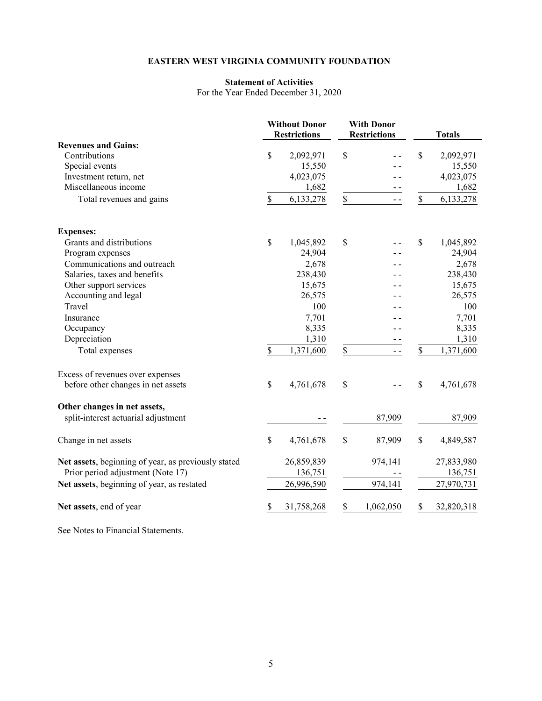# **Statement of Activities**

For the Year Ended December 31, 2020

|                                                     |              | <b>Without Donor</b><br><b>Restrictions</b> |             | <b>With Donor</b><br><b>Restrictions</b> |               | <b>Totals</b> |  |
|-----------------------------------------------------|--------------|---------------------------------------------|-------------|------------------------------------------|---------------|---------------|--|
| <b>Revenues and Gains:</b>                          |              |                                             |             |                                          |               |               |  |
| Contributions                                       | $\mathbb{S}$ | 2,092,971                                   | \$          |                                          | \$            | 2,092,971     |  |
| Special events                                      |              | 15,550                                      |             |                                          |               | 15,550        |  |
| Investment return, net                              |              | 4,023,075                                   |             |                                          |               | 4,023,075     |  |
| Miscellaneous income                                |              | 1,682                                       |             |                                          |               | 1,682         |  |
| Total revenues and gains                            | \$           | 6,133,278                                   | \$          | $=$ $=$                                  | \$            | 6,133,278     |  |
| <b>Expenses:</b>                                    |              |                                             |             |                                          |               |               |  |
| Grants and distributions                            | \$           | 1,045,892                                   | \$          |                                          | $\mathcal{S}$ | 1,045,892     |  |
| Program expenses                                    |              | 24,904                                      |             |                                          |               | 24,904        |  |
| Communications and outreach                         |              | 2,678                                       |             |                                          |               | 2,678         |  |
| Salaries, taxes and benefits                        |              | 238,430                                     |             |                                          |               | 238,430       |  |
| Other support services                              |              | 15,675                                      |             |                                          |               | 15,675        |  |
| Accounting and legal                                |              | 26,575                                      |             |                                          |               | 26,575        |  |
| Travel                                              |              | 100                                         |             |                                          |               | 100           |  |
| Insurance                                           |              | 7,701                                       |             |                                          |               | 7,701         |  |
| Occupancy                                           |              | 8,335                                       |             |                                          |               | 8,335         |  |
| Depreciation                                        |              | 1,310                                       |             |                                          |               | 1,310         |  |
| Total expenses                                      | $\mathbb{S}$ | 1,371,600                                   | \$          | $ -$                                     | \$            | 1,371,600     |  |
| Excess of revenues over expenses                    |              |                                             |             |                                          |               |               |  |
| before other changes in net assets                  | \$           | 4,761,678                                   | \$          |                                          | \$            | 4,761,678     |  |
| Other changes in net assets,                        |              |                                             |             |                                          |               |               |  |
| split-interest actuarial adjustment                 |              |                                             |             | 87,909                                   |               | 87,909        |  |
| Change in net assets                                | \$           | 4,761,678                                   | $\mathbb S$ | 87,909                                   | $\$$          | 4,849,587     |  |
| Net assets, beginning of year, as previously stated |              | 26,859,839                                  |             | 974,141                                  |               | 27,833,980    |  |
| Prior period adjustment (Note 17)                   |              | 136,751                                     |             |                                          |               | 136,751       |  |
| Net assets, beginning of year, as restated          |              | 26,996,590                                  |             | 974,141                                  |               | 27,970,731    |  |
| Net assets, end of year                             | S            | 31,758,268                                  | \$          | 1,062,050                                | \$            | 32,820,318    |  |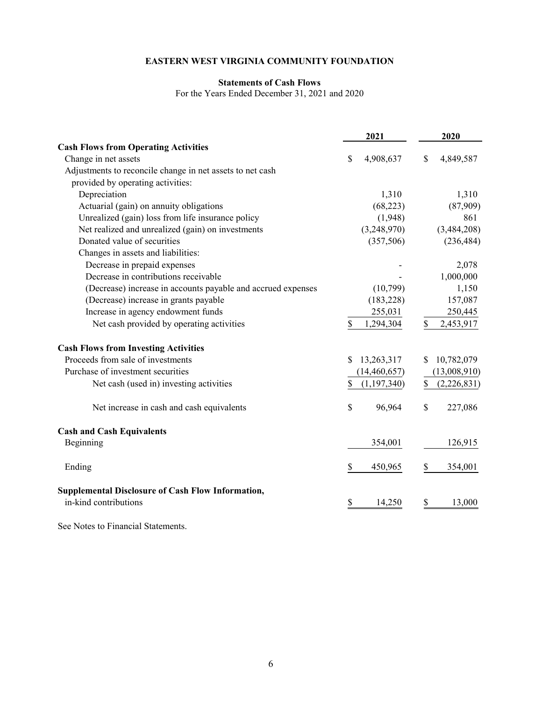# **Statements of Cash Flows**

For the Years Ended December 31, 2021 and 2020

|                                                                                   | 2021              |              | 2020         |
|-----------------------------------------------------------------------------------|-------------------|--------------|--------------|
| <b>Cash Flows from Operating Activities</b>                                       |                   |              |              |
| Change in net assets                                                              | \$<br>4,908,637   | $\mathbb{S}$ | 4,849,587    |
| Adjustments to reconcile change in net assets to net cash                         |                   |              |              |
| provided by operating activities:                                                 |                   |              |              |
| Depreciation                                                                      | 1,310             |              | 1,310        |
| Actuarial (gain) on annuity obligations                                           | (68, 223)         |              | (87,909)     |
| Unrealized (gain) loss from life insurance policy                                 | (1,948)           |              | 861          |
| Net realized and unrealized (gain) on investments                                 | (3,248,970)       |              | (3,484,208)  |
| Donated value of securities                                                       | (357,506)         |              | (236, 484)   |
| Changes in assets and liabilities:                                                |                   |              |              |
| Decrease in prepaid expenses                                                      |                   |              | 2,078        |
| Decrease in contributions receivable                                              |                   |              | 1,000,000    |
| (Decrease) increase in accounts payable and accrued expenses                      | (10,799)          |              | 1,150        |
| (Decrease) increase in grants payable                                             | (183, 228)        |              | 157,087      |
| Increase in agency endowment funds                                                | 255,031           |              | 250,445      |
| Net cash provided by operating activities                                         | \$<br>1,294,304   | \$           | 2,453,917    |
| <b>Cash Flows from Investing Activities</b>                                       |                   |              |              |
| Proceeds from sale of investments                                                 | \$<br>13,263,317  | \$           | 10,782,079   |
| Purchase of investment securities                                                 | (14, 460, 657)    |              | (13,008,910) |
| Net cash (used in) investing activities                                           | \$<br>(1,197,340) | \$           | (2,226,831)  |
| Net increase in cash and cash equivalents                                         | \$<br>96,964      | \$           | 227,086      |
| <b>Cash and Cash Equivalents</b>                                                  |                   |              |              |
| Beginning                                                                         | 354,001           |              | 126,915      |
| Ending                                                                            | \$<br>450,965     | \$           | 354,001      |
| <b>Supplemental Disclosure of Cash Flow Information,</b><br>in-kind contributions | \$<br>14,250      | \$           | 13,000       |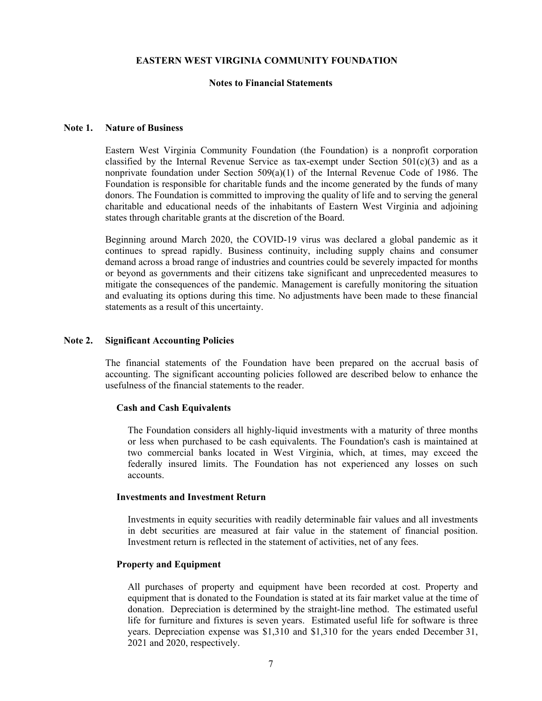## **Notes to Financial Statements**

## **Note 1. Nature of Business**

Eastern West Virginia Community Foundation (the Foundation) is a nonprofit corporation classified by the Internal Revenue Service as tax-exempt under Section  $501(c)(3)$  and as a nonprivate foundation under Section  $509(a)(1)$  of the Internal Revenue Code of 1986. The Foundation is responsible for charitable funds and the income generated by the funds of many donors. The Foundation is committed to improving the quality of life and to serving the general charitable and educational needs of the inhabitants of Eastern West Virginia and adjoining states through charitable grants at the discretion of the Board.

Beginning around March 2020, the COVID-19 virus was declared a global pandemic as it continues to spread rapidly. Business continuity, including supply chains and consumer demand across a broad range of industries and countries could be severely impacted for months or beyond as governments and their citizens take significant and unprecedented measures to mitigate the consequences of the pandemic. Management is carefully monitoring the situation and evaluating its options during this time. No adjustments have been made to these financial statements as a result of this uncertainty.

#### **Note 2. Significant Accounting Policies**

The financial statements of the Foundation have been prepared on the accrual basis of accounting. The significant accounting policies followed are described below to enhance the usefulness of the financial statements to the reader.

#### **Cash and Cash Equivalents**

The Foundation considers all highly-liquid investments with a maturity of three months or less when purchased to be cash equivalents. The Foundation's cash is maintained at two commercial banks located in West Virginia, which, at times, may exceed the federally insured limits. The Foundation has not experienced any losses on such accounts.

#### **Investments and Investment Return**

Investments in equity securities with readily determinable fair values and all investments in debt securities are measured at fair value in the statement of financial position. Investment return is reflected in the statement of activities, net of any fees.

# **Property and Equipment**

All purchases of property and equipment have been recorded at cost. Property and equipment that is donated to the Foundation is stated at its fair market value at the time of donation. Depreciation is determined by the straight-line method. The estimated useful life for furniture and fixtures is seven years. Estimated useful life for software is three years. Depreciation expense was \$1,310 and \$1,310 for the years ended December 31, 2021 and 2020, respectively.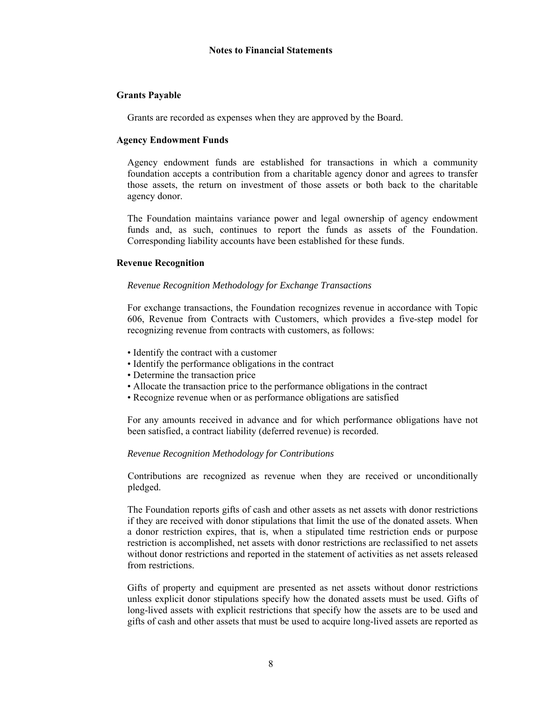# **Grants Payable**

Grants are recorded as expenses when they are approved by the Board.

# **Agency Endowment Funds**

Agency endowment funds are established for transactions in which a community foundation accepts a contribution from a charitable agency donor and agrees to transfer those assets, the return on investment of those assets or both back to the charitable agency donor.

The Foundation maintains variance power and legal ownership of agency endowment funds and, as such, continues to report the funds as assets of the Foundation. Corresponding liability accounts have been established for these funds.

# **Revenue Recognition**

# *Revenue Recognition Methodology for Exchange Transactions*

For exchange transactions, the Foundation recognizes revenue in accordance with Topic 606, Revenue from Contracts with Customers, which provides a five-step model for recognizing revenue from contracts with customers, as follows:

- Identify the contract with a customer
- Identify the performance obligations in the contract
- Determine the transaction price
- Allocate the transaction price to the performance obligations in the contract
- Recognize revenue when or as performance obligations are satisfied

For any amounts received in advance and for which performance obligations have not been satisfied, a contract liability (deferred revenue) is recorded.

### *Revenue Recognition Methodology for Contributions*

Contributions are recognized as revenue when they are received or unconditionally pledged.

The Foundation reports gifts of cash and other assets as net assets with donor restrictions if they are received with donor stipulations that limit the use of the donated assets. When a donor restriction expires, that is, when a stipulated time restriction ends or purpose restriction is accomplished, net assets with donor restrictions are reclassified to net assets without donor restrictions and reported in the statement of activities as net assets released from restrictions.

Gifts of property and equipment are presented as net assets without donor restrictions unless explicit donor stipulations specify how the donated assets must be used. Gifts of long-lived assets with explicit restrictions that specify how the assets are to be used and gifts of cash and other assets that must be used to acquire long-lived assets are reported as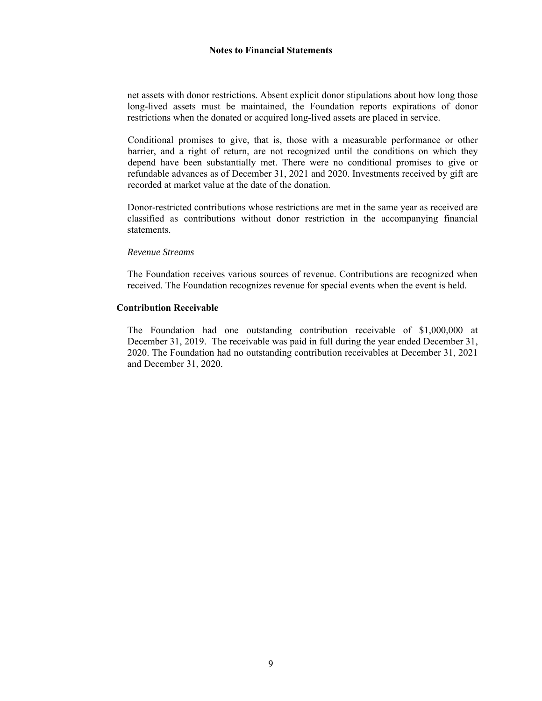net assets with donor restrictions. Absent explicit donor stipulations about how long those long-lived assets must be maintained, the Foundation reports expirations of donor restrictions when the donated or acquired long-lived assets are placed in service.

Conditional promises to give, that is, those with a measurable performance or other barrier, and a right of return, are not recognized until the conditions on which they depend have been substantially met. There were no conditional promises to give or refundable advances as of December 31, 2021 and 2020. Investments received by gift are recorded at market value at the date of the donation.

Donor-restricted contributions whose restrictions are met in the same year as received are classified as contributions without donor restriction in the accompanying financial statements.

#### *Revenue Streams*

The Foundation receives various sources of revenue. Contributions are recognized when received. The Foundation recognizes revenue for special events when the event is held.

### **Contribution Receivable**

The Foundation had one outstanding contribution receivable of \$1,000,000 at December 31, 2019. The receivable was paid in full during the year ended December 31, 2020. The Foundation had no outstanding contribution receivables at December 31, 2021 and December 31, 2020.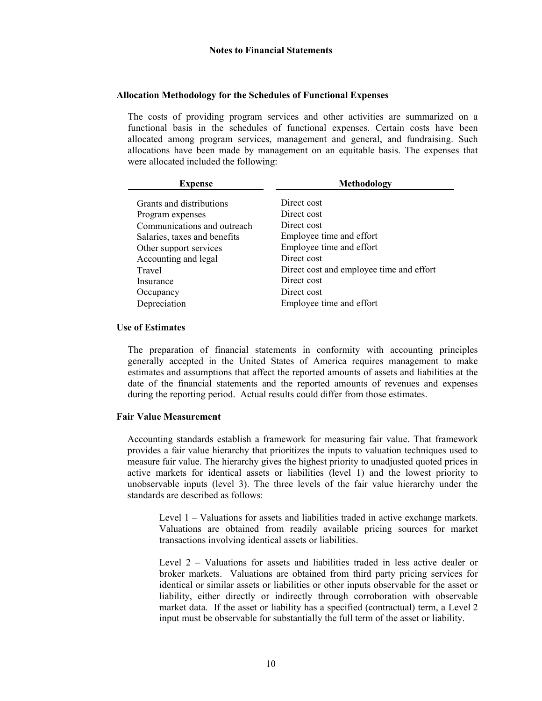# **Allocation Methodology for the Schedules of Functional Expenses**

The costs of providing program services and other activities are summarized on a functional basis in the schedules of functional expenses. Certain costs have been allocated among program services, management and general, and fundraising. Such allocations have been made by management on an equitable basis. The expenses that were allocated included the following:

| <b>Expense</b>               | Methodology                              |
|------------------------------|------------------------------------------|
| Grants and distributions     | Direct cost                              |
| Program expenses             | Direct cost                              |
| Communications and outreach  | Direct cost                              |
| Salaries, taxes and benefits | Employee time and effort                 |
| Other support services       | Employee time and effort                 |
| Accounting and legal         | Direct cost                              |
| Travel                       | Direct cost and employee time and effort |
| Insurance                    | Direct cost                              |
| Occupancy                    | Direct cost                              |
| Depreciation                 | Employee time and effort                 |

# **Use of Estimates**

The preparation of financial statements in conformity with accounting principles generally accepted in the United States of America requires management to make estimates and assumptions that affect the reported amounts of assets and liabilities at the date of the financial statements and the reported amounts of revenues and expenses during the reporting period. Actual results could differ from those estimates.

### **Fair Value Measurement**

Accounting standards establish a framework for measuring fair value. That framework provides a fair value hierarchy that prioritizes the inputs to valuation techniques used to measure fair value. The hierarchy gives the highest priority to unadjusted quoted prices in active markets for identical assets or liabilities (level 1) and the lowest priority to unobservable inputs (level 3). The three levels of the fair value hierarchy under the standards are described as follows:

Level 1 – Valuations for assets and liabilities traded in active exchange markets. Valuations are obtained from readily available pricing sources for market transactions involving identical assets or liabilities.

Level 2 – Valuations for assets and liabilities traded in less active dealer or broker markets. Valuations are obtained from third party pricing services for identical or similar assets or liabilities or other inputs observable for the asset or liability, either directly or indirectly through corroboration with observable market data. If the asset or liability has a specified (contractual) term, a Level 2 input must be observable for substantially the full term of the asset or liability.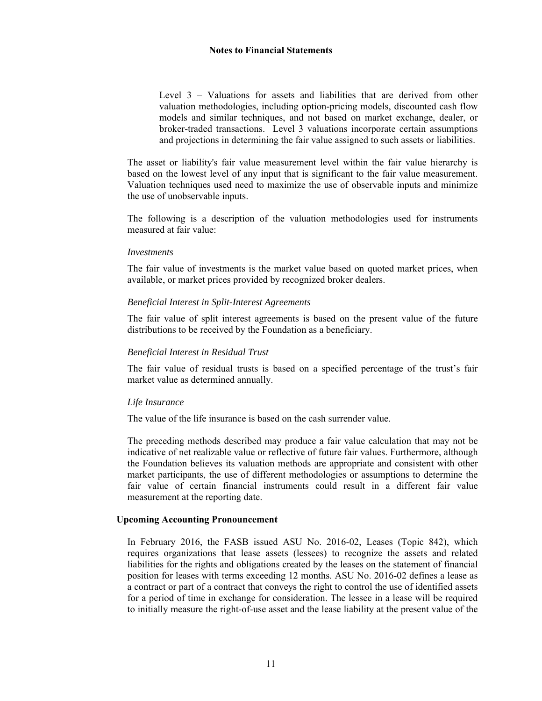Level 3 – Valuations for assets and liabilities that are derived from other valuation methodologies, including option-pricing models, discounted cash flow models and similar techniques, and not based on market exchange, dealer, or broker-traded transactions. Level 3 valuations incorporate certain assumptions and projections in determining the fair value assigned to such assets or liabilities.

The asset or liability's fair value measurement level within the fair value hierarchy is based on the lowest level of any input that is significant to the fair value measurement. Valuation techniques used need to maximize the use of observable inputs and minimize the use of unobservable inputs.

The following is a description of the valuation methodologies used for instruments measured at fair value:

### *Investments*

The fair value of investments is the market value based on quoted market prices, when available, or market prices provided by recognized broker dealers.

# *Beneficial Interest in Split-Interest Agreements*

The fair value of split interest agreements is based on the present value of the future distributions to be received by the Foundation as a beneficiary.

## *Beneficial Interest in Residual Trust*

The fair value of residual trusts is based on a specified percentage of the trust's fair market value as determined annually.

### *Life Insurance*

The value of the life insurance is based on the cash surrender value.

The preceding methods described may produce a fair value calculation that may not be indicative of net realizable value or reflective of future fair values. Furthermore, although the Foundation believes its valuation methods are appropriate and consistent with other market participants, the use of different methodologies or assumptions to determine the fair value of certain financial instruments could result in a different fair value measurement at the reporting date.

### **Upcoming Accounting Pronouncement**

In February 2016, the FASB issued ASU No. 2016-02, Leases (Topic 842), which requires organizations that lease assets (lessees) to recognize the assets and related liabilities for the rights and obligations created by the leases on the statement of financial position for leases with terms exceeding 12 months. ASU No. 2016-02 defines a lease as a contract or part of a contract that conveys the right to control the use of identified assets for a period of time in exchange for consideration. The lessee in a lease will be required to initially measure the right-of-use asset and the lease liability at the present value of the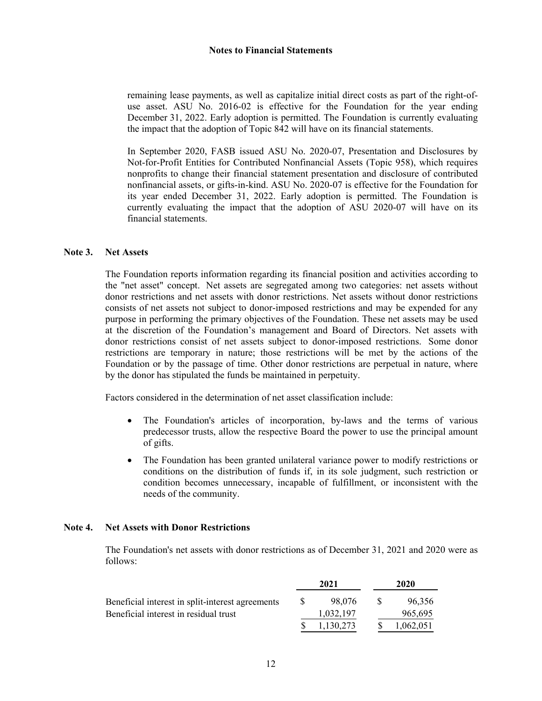remaining lease payments, as well as capitalize initial direct costs as part of the right-ofuse asset. ASU No. 2016-02 is effective for the Foundation for the year ending December 31, 2022. Early adoption is permitted. The Foundation is currently evaluating the impact that the adoption of Topic 842 will have on its financial statements.

In September 2020, FASB issued ASU No. 2020-07, Presentation and Disclosures by Not-for-Profit Entities for Contributed Nonfinancial Assets (Topic 958), which requires nonprofits to change their financial statement presentation and disclosure of contributed nonfinancial assets, or gifts-in-kind. ASU No. 2020-07 is effective for the Foundation for its year ended December 31, 2022. Early adoption is permitted. The Foundation is currently evaluating the impact that the adoption of ASU 2020-07 will have on its financial statements.

# **Note 3. Net Assets**

The Foundation reports information regarding its financial position and activities according to the "net asset" concept. Net assets are segregated among two categories: net assets without donor restrictions and net assets with donor restrictions. Net assets without donor restrictions consists of net assets not subject to donor-imposed restrictions and may be expended for any purpose in performing the primary objectives of the Foundation. These net assets may be used at the discretion of the Foundation's management and Board of Directors. Net assets with donor restrictions consist of net assets subject to donor-imposed restrictions. Some donor restrictions are temporary in nature; those restrictions will be met by the actions of the Foundation or by the passage of time. Other donor restrictions are perpetual in nature, where by the donor has stipulated the funds be maintained in perpetuity.

Factors considered in the determination of net asset classification include:

- The Foundation's articles of incorporation, by-laws and the terms of various predecessor trusts, allow the respective Board the power to use the principal amount of gifts.
- The Foundation has been granted unilateral variance power to modify restrictions or conditions on the distribution of funds if, in its sole judgment, such restriction or condition becomes unnecessary, incapable of fulfillment, or inconsistent with the needs of the community.

## **Note 4. Net Assets with Donor Restrictions**

The Foundation's net assets with donor restrictions as of December 31, 2021 and 2020 were as follows:

|                                                  |  | 2021      | 2020 |           |  |
|--------------------------------------------------|--|-----------|------|-----------|--|
| Beneficial interest in split-interest agreements |  | 98.076    | -SS  | 96.356    |  |
| Beneficial interest in residual trust            |  | 1,032,197 |      | 965,695   |  |
|                                                  |  | 1,130,273 | S.   | 1,062,051 |  |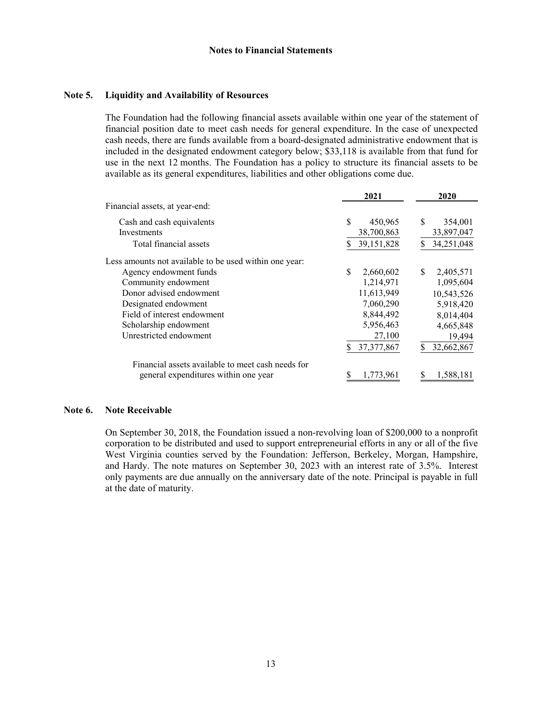#### **Note 5. Liquidity and Availability of Resources**

The Foundation had the following financial assets available within one year of the statement of financial position date to meet cash needs for general expenditure. In the case of unexpected cash needs, there are funds available from a board-designated administrative endowment that is included in the designated endowment category below; \$33,118 is available from that fund for use in the next 12 months. The Foundation has a policy to structure its financial assets to be available as its general expenditures, liabilities and other obligations come due.

|                                                        | 2021             | 2020            |
|--------------------------------------------------------|------------------|-----------------|
| Financial assets, at year-end:                         |                  |                 |
| Cash and cash equivalents                              | \$<br>450,965    | \$<br>354,001   |
| Investments                                            | 38,700,863       | 33,897,047      |
| Total financial assets                                 | 39,151,828       | 34,251,048      |
| Less amounts not available to be used within one year: |                  |                 |
| Agency endowment funds                                 | \$.<br>2,660,602 | \$<br>2,405,571 |
| Community endowment                                    | 1,214,971        | 1,095,604       |
| Donor advised endowment                                | 11,613,949       | 10,543,526      |
| Designated endowment                                   | 7,060,290        | 5,918,420       |
| Field of interest endowment                            | 8,844,492        | 8,014,404       |
| Scholarship endowment                                  | 5,956,463        | 4,665,848       |
| Unrestricted endowment                                 | 27,100           | 19,494          |
|                                                        | 37, 377, 867     | 32,662,867      |
| Financial assets available to meet cash needs for      |                  |                 |
| general expenditures within one year                   | 1,773,961<br>S   | 1,588,181       |

# **Note 6. Note Receivable**

On September 30, 2018, the Foundation issued a non-revolving loan of \$200,000 to a nonprofit corporation to be distributed and used to support entrepreneurial efforts in any or all of the five West Virginia counties served by the Foundation: Jefferson, Berkeley, Morgan, Hampshire, and Hardy. The note matures on September 30, 2023 with an interest rate of 3.5%. Interest only payments are due annually on the anniversary date of the note. Principal is payable in full at the date of maturity.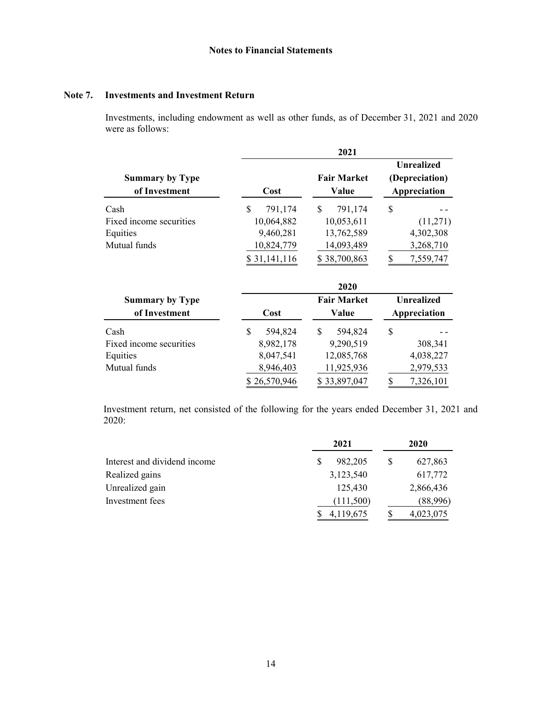# **Note 7. Investments and Investment Return**

Investments, including endowment as well as other funds, as of December 31, 2021 and 2020 were as follows:

|                                                             |                                                                        | 2021                                                                    |                                                             |
|-------------------------------------------------------------|------------------------------------------------------------------------|-------------------------------------------------------------------------|-------------------------------------------------------------|
| <b>Summary by Type</b><br>of Investment                     | Cost                                                                   | <b>Fair Market</b><br>Value                                             | <b>Unrealized</b><br>(Depreciation)<br>Appreciation         |
| Cash<br>Fixed income securities<br>Equities<br>Mutual funds | \$<br>791,174<br>10,064,882<br>9,460,281<br>10,824,779<br>\$31,141,116 | \$<br>791,174<br>10,053,611<br>13,762,589<br>14,093,489<br>\$38,700,863 | \$<br>(11,271)<br>4,302,308<br>3,268,710<br>\$<br>7,559,747 |
| <b>Summary by Type</b>                                      |                                                                        | 2020<br><b>Fair Market</b>                                              | <b>Unrealized</b>                                           |
| of Investment                                               | Cost                                                                   | Value                                                                   | Appreciation                                                |
| Cash<br>Fixed income securities<br>Equities<br>Mutual funds | \$<br>594,824<br>8,982,178<br>8,047,541<br>8,946,403<br>\$26,570,946   | \$<br>594,824<br>9,290,519<br>12,085,768<br>11,925,936<br>\$33,897,047  | \$<br>308,341<br>4,038,227<br>2,979,533<br>\$<br>7,326,101  |

Investment return, net consisted of the following for the years ended December 31, 2021 and 2020:

|                              |   | 2021      |   | 2020      |
|------------------------------|---|-----------|---|-----------|
| Interest and dividend income | S | 982,205   | S | 627,863   |
| Realized gains               |   | 3,123,540 |   | 617,772   |
| Unrealized gain              |   | 125,430   |   | 2,866,436 |
| Investment fees              |   | (111,500) |   | (88,996)  |
|                              |   | 4,119,675 |   | 4,023,075 |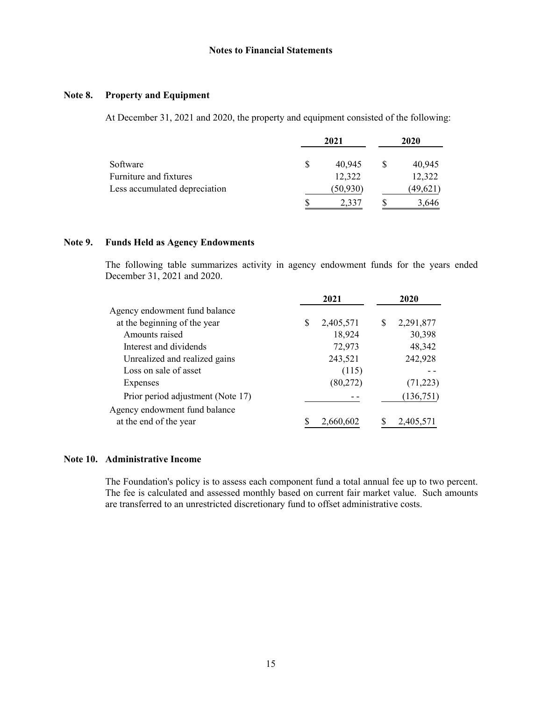# **Note 8. Property and Equipment**

At December 31, 2021 and 2020, the property and equipment consisted of the following:

|                               | 2021         | 2020 |          |  |
|-------------------------------|--------------|------|----------|--|
| Software                      | \$<br>40.945 |      | 40,945   |  |
| Furniture and fixtures        | 12,322       |      | 12,322   |  |
| Less accumulated depreciation | (50, 930)    |      | (49,621) |  |
|                               | 2,337        |      | 3,646    |  |

# **Note 9. Funds Held as Agency Endowments**

The following table summarizes activity in agency endowment funds for the years ended December 31, 2021 and 2020.

| 2021                              |   |           |   | 2020      |  |
|-----------------------------------|---|-----------|---|-----------|--|
| Agency endowment fund balance     |   |           |   |           |  |
| at the beginning of the year      | S | 2,405,571 | S | 2,291,877 |  |
| Amounts raised                    |   | 18,924    |   | 30,398    |  |
| Interest and dividends            |   | 72,973    |   | 48,342    |  |
| Unrealized and realized gains     |   | 243,521   |   | 242,928   |  |
| Loss on sale of asset             |   | (115)     |   |           |  |
| Expenses                          |   | (80,272)  |   | (71, 223) |  |
| Prior period adjustment (Note 17) |   |           |   | (136,751) |  |
| Agency endowment fund balance     |   |           |   |           |  |
| at the end of the year            |   | 2,660,602 |   | 2,405,571 |  |

# **Note 10. Administrative Income**

The Foundation's policy is to assess each component fund a total annual fee up to two percent. The fee is calculated and assessed monthly based on current fair market value. Such amounts are transferred to an unrestricted discretionary fund to offset administrative costs.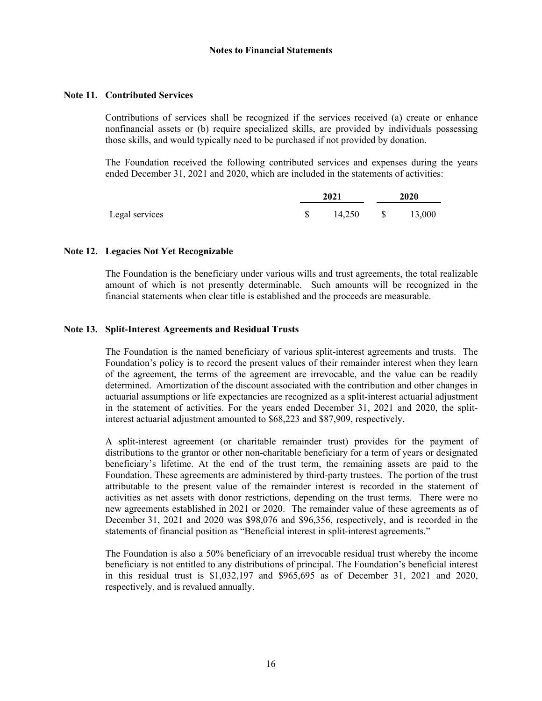# **Note 11. Contributed Services**

Contributions of services shall be recognized if the services received (a) create or enhance nonfinancial assets or (b) require specialized skills, are provided by individuals possessing those skills, and would typically need to be purchased if not provided by donation.

The Foundation received the following contributed services and expenses during the years ended December 31, 2021 and 2020, which are included in the statements of activities:

|                | 2021   | <b>2020</b> |                   |  |
|----------------|--------|-------------|-------------------|--|
| Legal services | 14,250 |             | $\$\qquad 13,000$ |  |

# **Note 12. Legacies Not Yet Recognizable**

The Foundation is the beneficiary under various wills and trust agreements, the total realizable amount of which is not presently determinable. Such amounts will be recognized in the financial statements when clear title is established and the proceeds are measurable.

# **Note 13. Split-Interest Agreements and Residual Trusts**

The Foundation is the named beneficiary of various split-interest agreements and trusts. The Foundation's policy is to record the present values of their remainder interest when they learn of the agreement, the terms of the agreement are irrevocable, and the value can be readily determined. Amortization of the discount associated with the contribution and other changes in actuarial assumptions or life expectancies are recognized as a split-interest actuarial adjustment in the statement of activities. For the years ended December 31, 2021 and 2020, the splitinterest actuarial adjustment amounted to \$68,223 and \$87,909, respectively.

A split-interest agreement (or charitable remainder trust) provides for the payment of distributions to the grantor or other non-charitable beneficiary for a term of years or designated beneficiary's lifetime. At the end of the trust term, the remaining assets are paid to the Foundation. These agreements are administered by third-party trustees. The portion of the trust attributable to the present value of the remainder interest is recorded in the statement of activities as net assets with donor restrictions, depending on the trust terms. There were no new agreements established in 2021 or 2020. The remainder value of these agreements as of December 31, 2021 and 2020 was \$98,076 and \$96,356, respectively, and is recorded in the statements of financial position as "Beneficial interest in split-interest agreements."

The Foundation is also a 50% beneficiary of an irrevocable residual trust whereby the income beneficiary is not entitled to any distributions of principal. The Foundation's beneficial interest in this residual trust is \$1,032,197 and \$965,695 as of December 31, 2021 and 2020, respectively, and is revalued annually.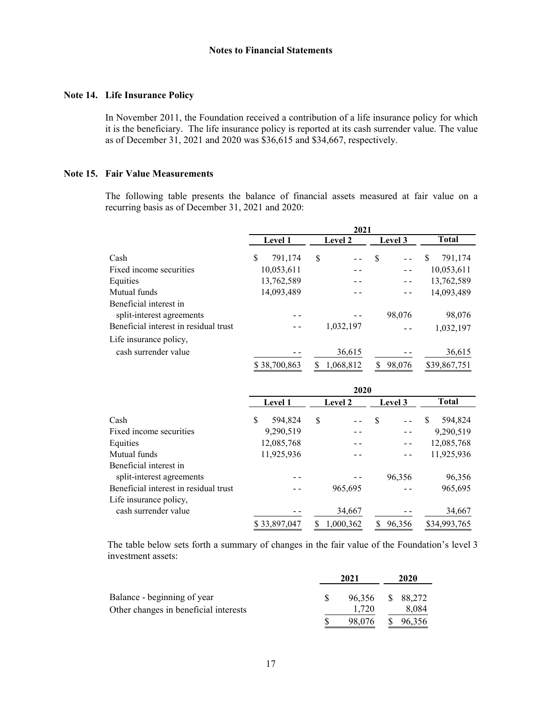# **Note 14. Life Insurance Policy**

In November 2011, the Foundation received a contribution of a life insurance policy for which it is the beneficiary. The life insurance policy is reported at its cash surrender value. The value as of December 31, 2021 and 2020 was \$36,615 and \$34,667, respectively.

# **Note 15. Fair Value Measurements**

The following table presents the balance of financial assets measured at fair value on a recurring basis as of December 31, 2021 and 2020:

|                                                     | 2021           |                |              |                     |  |  |  |
|-----------------------------------------------------|----------------|----------------|--------------|---------------------|--|--|--|
|                                                     | <b>Level 1</b> | <b>Level 2</b> |              | <b>Total</b>        |  |  |  |
| Cash                                                | \$<br>791,174  | S              | S            | <b>S</b><br>791,174 |  |  |  |
| Fixed income securities                             | 10,053,611     |                |              | 10,053,611          |  |  |  |
| Equities                                            | 13,762,589     |                |              | 13,762,589          |  |  |  |
| Mutual funds                                        | 14,093,489     |                |              | 14,093,489          |  |  |  |
| Beneficial interest in<br>split-interest agreements |                |                | 98,076       | 98,076              |  |  |  |
| Beneficial interest in residual trust               |                | 1,032,197      |              | 1,032,197           |  |  |  |
| Life insurance policy,                              |                |                |              |                     |  |  |  |
| cash surrender value                                |                | 36,615         |              | 36,615              |  |  |  |
|                                                     | \$38,700,863   | 1,068,812<br>S | 98,076<br>S. | \$39,867,751        |  |  |  |

|                                       | 2020 |              |    |           |    |         |     |              |  |
|---------------------------------------|------|--------------|----|-----------|----|---------|-----|--------------|--|
| Cash                                  |      | Level 1      |    | Level 2   |    | Level 3 |     | <b>Total</b> |  |
|                                       |      | 594,824      | \$ |           | S  |         | \$. | 594,824      |  |
| Fixed income securities               |      | 9,290,519    |    |           |    |         |     | 9,290,519    |  |
| Equities                              |      | 12,085,768   |    |           |    |         |     | 12,085,768   |  |
| Mutual funds                          |      | 11,925,936   |    |           |    |         |     | 11,925,936   |  |
| Beneficial interest in                |      |              |    |           |    |         |     |              |  |
| split-interest agreements             |      |              |    |           |    | 96.356  |     | 96,356       |  |
| Beneficial interest in residual trust |      |              |    | 965,695   |    |         |     | 965,695      |  |
| Life insurance policy,                |      |              |    |           |    |         |     |              |  |
| cash surrender value                  |      |              |    | 34,667    |    |         |     | 34,667       |  |
|                                       |      | \$33,897,047 |    | 1,000,362 | S. | 96,356  |     | \$34,993,765 |  |

The table below sets forth a summary of changes in the fair value of the Foundation's level 3 investment assets:

|                                       |  | 2020   |  |           |
|---------------------------------------|--|--------|--|-----------|
| Balance - beginning of year           |  | 96.356 |  | \$ 88.272 |
| Other changes in beneficial interests |  | 1.720  |  | 8,084     |
|                                       |  | 98,076 |  | 96.356    |